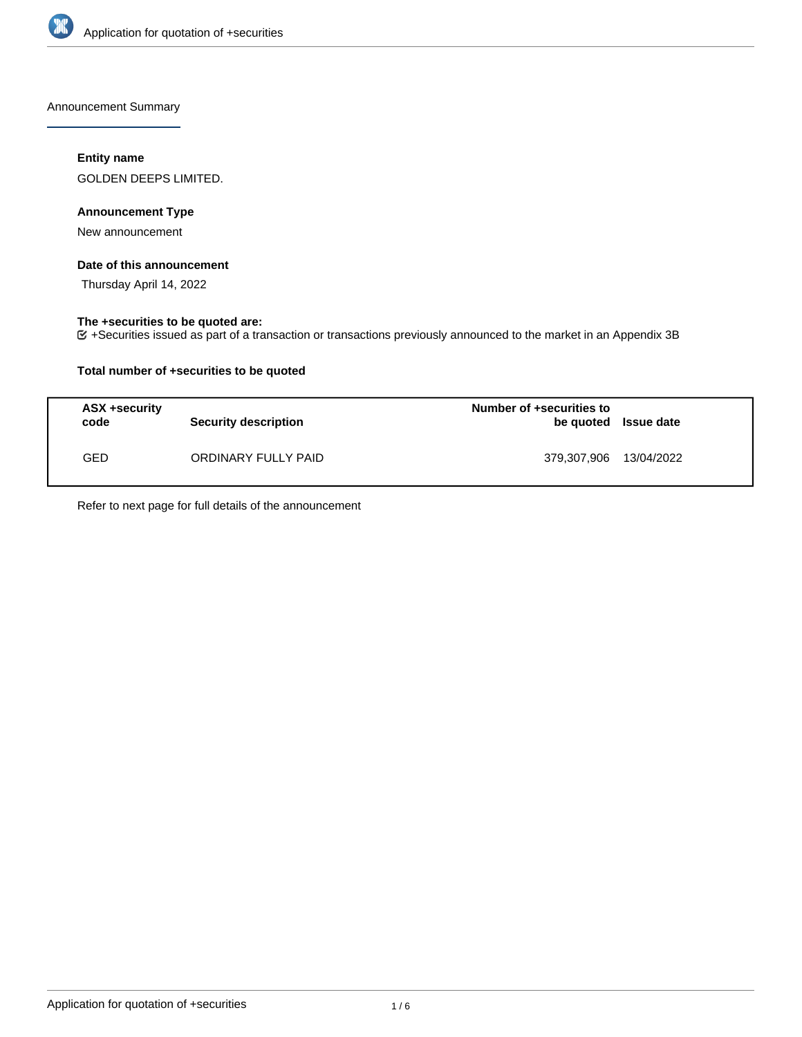

Announcement Summary

# **Entity name**

GOLDEN DEEPS LIMITED.

# **Announcement Type**

New announcement

# **Date of this announcement**

Thursday April 14, 2022

# **The +securities to be quoted are:**

+Securities issued as part of a transaction or transactions previously announced to the market in an Appendix 3B

# **Total number of +securities to be quoted**

| ASX +security<br>code | <b>Security description</b> | Number of +securities to | be quoted Issue date |
|-----------------------|-----------------------------|--------------------------|----------------------|
| GED                   | ORDINARY FULLY PAID         | 379,307,906 13/04/2022   |                      |

Refer to next page for full details of the announcement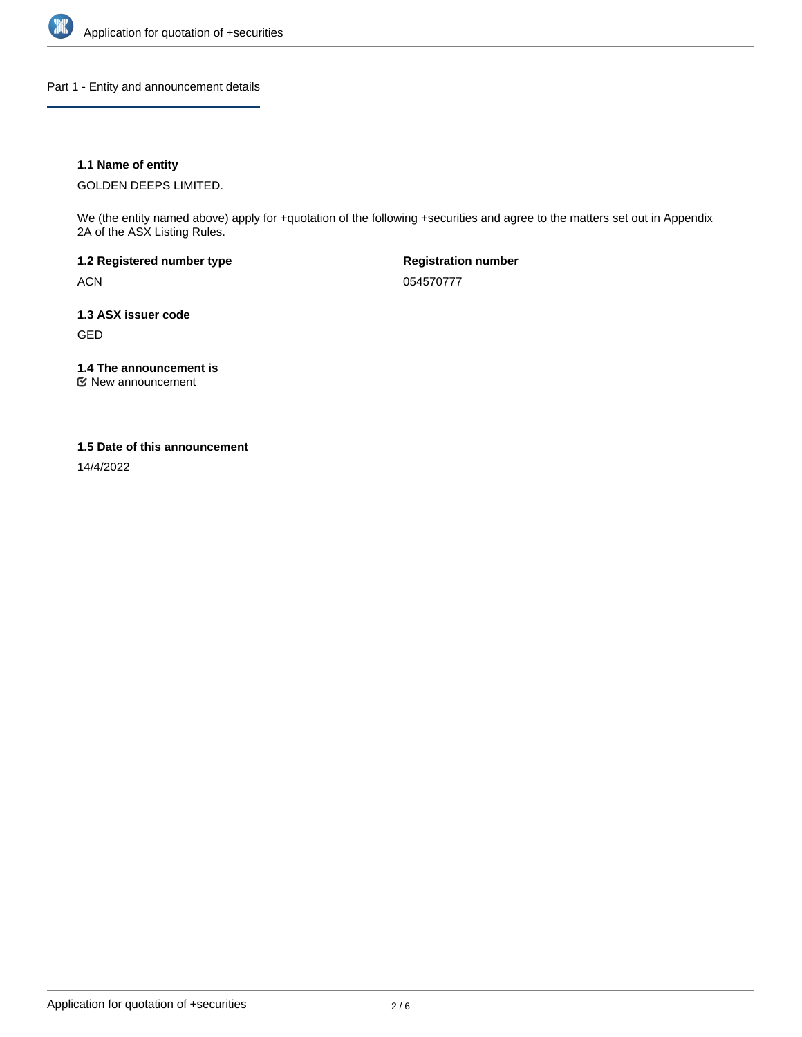

Part 1 - Entity and announcement details

# **1.1 Name of entity**

GOLDEN DEEPS LIMITED.

We (the entity named above) apply for +quotation of the following +securities and agree to the matters set out in Appendix 2A of the ASX Listing Rules.

**1.2 Registered number type** ACN

**Registration number** 054570777

**1.3 ASX issuer code** GED

**1.4 The announcement is**

New announcement

### **1.5 Date of this announcement**

14/4/2022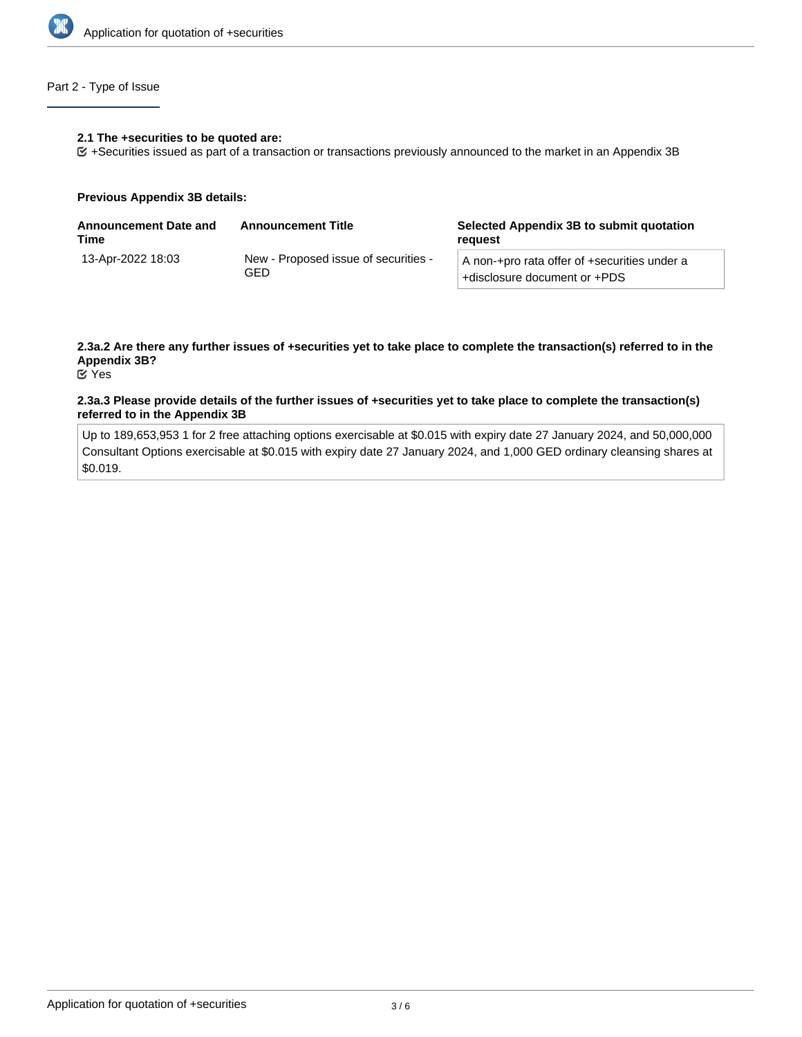

# Part 2 - Type of Issue

#### **2.1 The +securities to be quoted are:**

+Securities issued as part of a transaction or transactions previously announced to the market in an Appendix 3B

#### **Previous Appendix 3B details:**

| <b>Announcement Date and</b><br>Time | <b>Announcement Title</b>                   | Selected Appendix 3B to submit quotation<br>reguest                          |  |
|--------------------------------------|---------------------------------------------|------------------------------------------------------------------------------|--|
| 13-Apr-2022 18:03                    | New - Proposed issue of securities -<br>GED | A non-+pro rata offer of +securities under a<br>+disclosure document or +PDS |  |

# **2.3a.2 Are there any further issues of +securities yet to take place to complete the transaction(s) referred to in the Appendix 3B?**

Yes

### **2.3a.3 Please provide details of the further issues of +securities yet to take place to complete the transaction(s) referred to in the Appendix 3B**

Up to 189,653,953 1 for 2 free attaching options exercisable at \$0.015 with expiry date 27 January 2024, and 50,000,000 Consultant Options exercisable at \$0.015 with expiry date 27 January 2024, and 1,000 GED ordinary cleansing shares at \$0.019.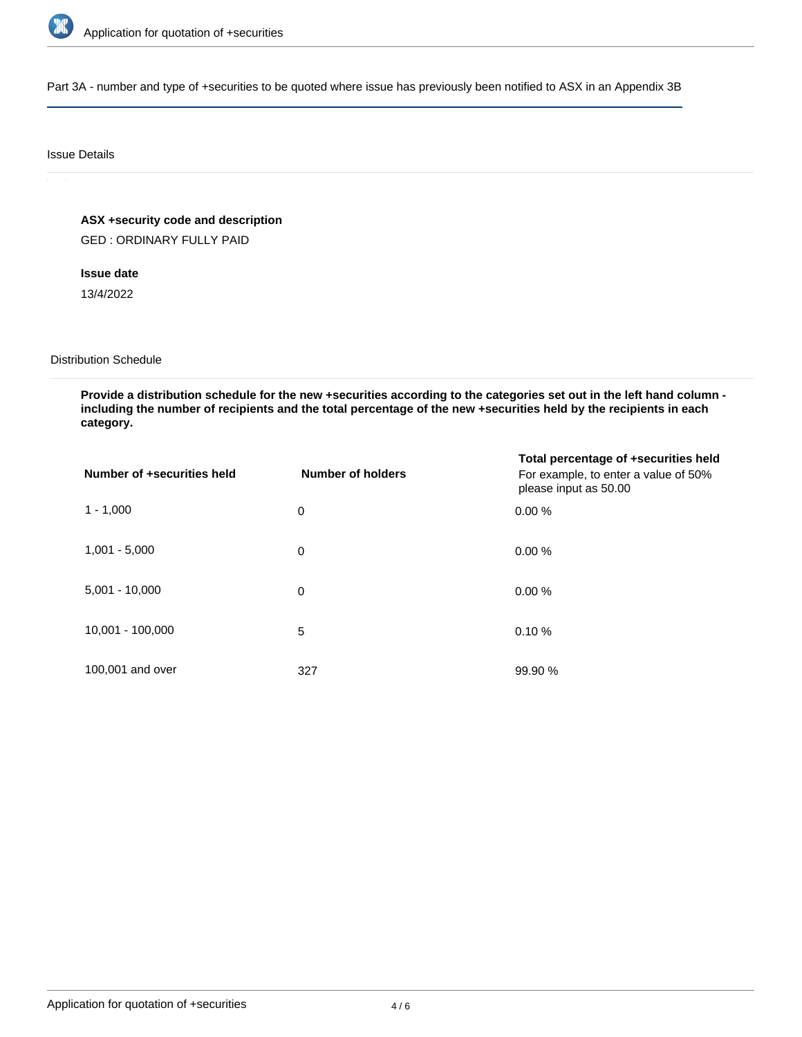

Part 3A - number and type of +securities to be quoted where issue has previously been notified to ASX in an Appendix 3B

### Issue Details

**ASX +security code and description**

GED : ORDINARY FULLY PAID

**Issue date**

13/4/2022

### Distribution Schedule

**Provide a distribution schedule for the new +securities according to the categories set out in the left hand column including the number of recipients and the total percentage of the new +securities held by the recipients in each category.**

| Number of +securities held | Number of holders | Total percentage of +securities held<br>For example, to enter a value of 50%<br>please input as 50.00 |
|----------------------------|-------------------|-------------------------------------------------------------------------------------------------------|
| $1 - 1,000$                | 0                 | 0.00%                                                                                                 |
| $1,001 - 5,000$            | 0                 | 0.00%                                                                                                 |
| $5,001 - 10,000$           | 0                 | 0.00%                                                                                                 |
| 10,001 - 100,000           | 5                 | 0.10%                                                                                                 |
| 100,001 and over           | 327               | 99.90 %                                                                                               |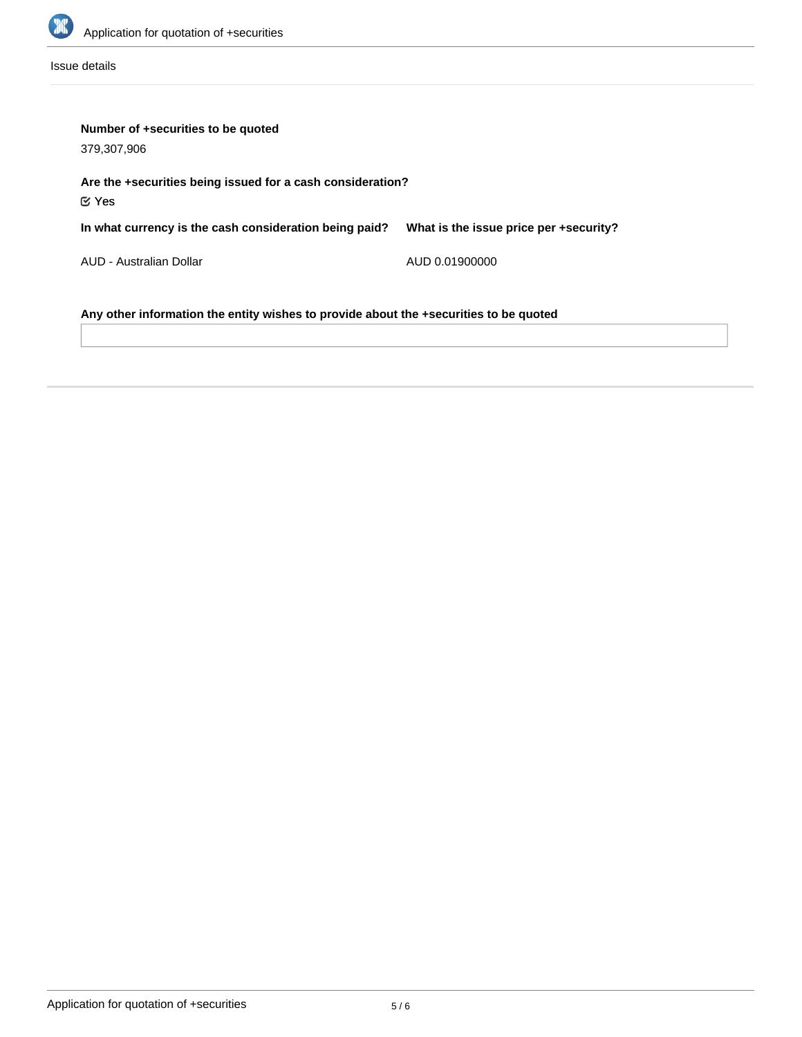

Issue details

| Number of +securities to be quoted<br>379,307,906                                     |                                        |  |  |  |
|---------------------------------------------------------------------------------------|----------------------------------------|--|--|--|
| Are the +securities being issued for a cash consideration?<br>$\mathfrak C$ Yes       |                                        |  |  |  |
| In what currency is the cash consideration being paid?                                | What is the issue price per +security? |  |  |  |
| AUD - Australian Dollar                                                               | AUD 0.01900000                         |  |  |  |
| Any other information the entity wishes to provide about the +securities to be quoted |                                        |  |  |  |